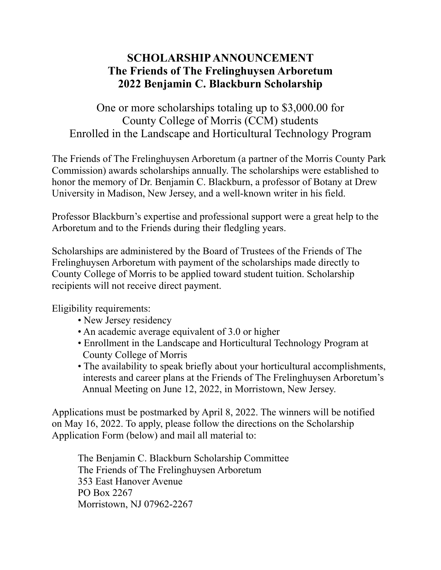## **SCHOLARSHIP ANNOUNCEMENT The Friends of The Frelinghuysen Arboretum 2022 Benjamin C. Blackburn Scholarship**

One or more scholarships totaling up to \$3,000.00 for County College of Morris (CCM) students Enrolled in the Landscape and Horticultural Technology Program

The Friends of The Frelinghuysen Arboretum (a partner of the Morris County Park Commission) awards scholarships annually. The scholarships were established to honor the memory of Dr. Benjamin C. Blackburn, a professor of Botany at Drew University in Madison, New Jersey, and a well-known writer in his field.

Professor Blackburn's expertise and professional support were a great help to the Arboretum and to the Friends during their fledgling years.

Scholarships are administered by the Board of Trustees of the Friends of The Frelinghuysen Arboretum with payment of the scholarships made directly to County College of Morris to be applied toward student tuition. Scholarship recipients will not receive direct payment.

Eligibility requirements:

- New Jersey residency
- An academic average equivalent of 3.0 or higher
- Enrollment in the Landscape and Horticultural Technology Program at County College of Morris
- The availability to speak briefly about your horticultural accomplishments, interests and career plans at the Friends of The Frelinghuysen Arboretum's Annual Meeting on June 12, 2022, in Morristown, New Jersey.

Applications must be postmarked by April 8, 2022. The winners will be notified on May 16, 2022. To apply, please follow the directions on the Scholarship Application Form (below) and mail all material to:

The Benjamin C. Blackburn Scholarship Committee The Friends of The Frelinghuysen Arboretum 353 East Hanover Avenue PO Box 2267 Morristown, NJ 07962-2267